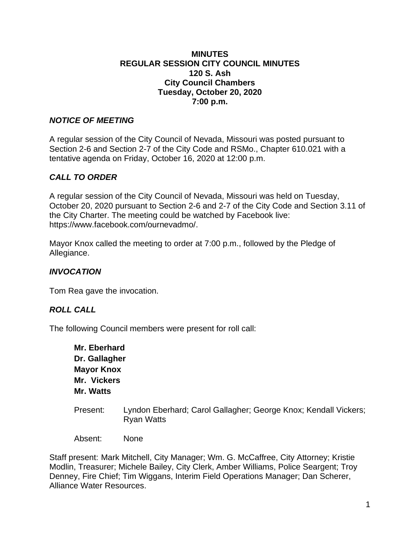#### **MINUTES REGULAR SESSION CITY COUNCIL MINUTES 120 S. Ash City Council Chambers Tuesday, October 20, 2020 7:00 p.m.**

### *NOTICE OF MEETING*

A regular session of the City Council of Nevada, Missouri was posted pursuant to Section 2-6 and Section 2-7 of the City Code and RSMo., Chapter 610.021 with a tentative agenda on Friday, October 16, 2020 at 12:00 p.m.

# *CALL TO ORDER*

A regular session of the City Council of Nevada, Missouri was held on Tuesday, October 20, 2020 pursuant to Section 2-6 and 2-7 of the City Code and Section 3.11 of the City Charter. The meeting could be watched by Facebook live: https://www.facebook.com/ournevadmo/.

Mayor Knox called the meeting to order at 7:00 p.m., followed by the Pledge of Allegiance.

### *INVOCATION*

Tom Rea gave the invocation.

### *ROLL CALL*

The following Council members were present for roll call:

**Mr. Eberhard Dr. Gallagher Mayor Knox Mr. Vickers Mr. Watts**

Present: Lyndon Eberhard; Carol Gallagher; George Knox; Kendall Vickers; Ryan Watts

Absent: None

Staff present: Mark Mitchell, City Manager; Wm. G. McCaffree, City Attorney; Kristie Modlin, Treasurer; Michele Bailey, City Clerk, Amber Williams, Police Seargent; Troy Denney, Fire Chief; Tim Wiggans, Interim Field Operations Manager; Dan Scherer, Alliance Water Resources.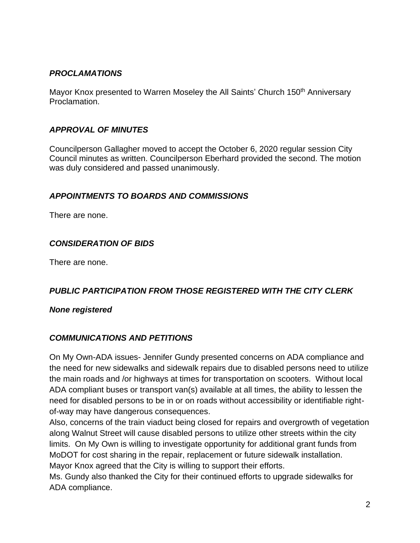# *PROCLAMATIONS*

Mayor Knox presented to Warren Moseley the All Saints' Church 150<sup>th</sup> Anniversary Proclamation.

# *APPROVAL OF MINUTES*

Councilperson Gallagher moved to accept the October 6, 2020 regular session City Council minutes as written. Councilperson Eberhard provided the second. The motion was duly considered and passed unanimously.

### *APPOINTMENTS TO BOARDS AND COMMISSIONS*

There are none.

# *CONSIDERATION OF BIDS*

There are none.

# *PUBLIC PARTICIPATION FROM THOSE REGISTERED WITH THE CITY CLERK*

*None registered*

### *COMMUNICATIONS AND PETITIONS*

On My Own-ADA issues- Jennifer Gundy presented concerns on ADA compliance and the need for new sidewalks and sidewalk repairs due to disabled persons need to utilize the main roads and /or highways at times for transportation on scooters. Without local ADA compliant buses or transport van(s) available at all times, the ability to lessen the need for disabled persons to be in or on roads without accessibility or identifiable rightof-way may have dangerous consequences.

Also, concerns of the train viaduct being closed for repairs and overgrowth of vegetation along Walnut Street will cause disabled persons to utilize other streets within the city limits. On My Own is willing to investigate opportunity for additional grant funds from MoDOT for cost sharing in the repair, replacement or future sidewalk installation. Mayor Knox agreed that the City is willing to support their efforts.

Ms. Gundy also thanked the City for their continued efforts to upgrade sidewalks for ADA compliance.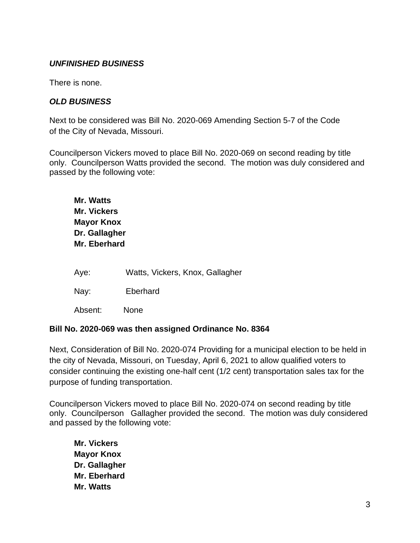### *UNFINISHED BUSINESS*

There is none.

#### *OLD BUSINESS*

Next to be considered was Bill No. 2020-069 Amending Section 5-7 of the Code of the City of Nevada, Missouri.

Councilperson Vickers moved to place Bill No. 2020-069 on second reading by title only. Councilperson Watts provided the second. The motion was duly considered and passed by the following vote:

| Mr. Watts<br><b>Mr. Vickers</b><br><b>Mayor Knox</b><br>Dr. Gallagher<br>Mr. Eberhard |                                 |
|---------------------------------------------------------------------------------------|---------------------------------|
| Aye:                                                                                  | Watts, Vickers, Knox, Gallagher |
| Nay:                                                                                  | Eberhard                        |
| Absent:                                                                               | None                            |

#### **Bill No. 2020-069 was then assigned Ordinance No. 8364**

Next, Consideration of Bill No. 2020-074 Providing for a municipal election to be held in the city of Nevada, Missouri, on Tuesday, April 6, 2021 to allow qualified voters to consider continuing the existing one-half cent (1/2 cent) transportation sales tax for the purpose of funding transportation.

Councilperson Vickers moved to place Bill No. 2020-074 on second reading by title only. Councilperson Gallagher provided the second. The motion was duly considered and passed by the following vote:

**Mr. Vickers Mayor Knox Dr. Gallagher Mr. Eberhard Mr. Watts**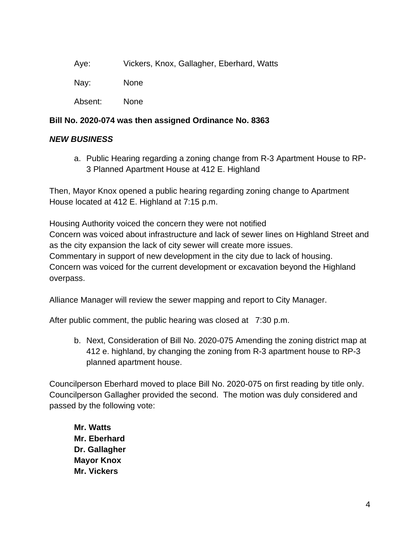| Aye: | Vickers, Knox, Gallagher, Eberhard, Watts |
|------|-------------------------------------------|
|------|-------------------------------------------|

Nay: None

Absent: None

### **Bill No. 2020-074 was then assigned Ordinance No. 8363**

# *NEW BUSINESS*

a. Public Hearing regarding a zoning change from R-3 Apartment House to RP-3 Planned Apartment House at 412 E. Highland

Then, Mayor Knox opened a public hearing regarding zoning change to Apartment House located at 412 E. Highland at 7:15 p.m.

Housing Authority voiced the concern they were not notified Concern was voiced about infrastructure and lack of sewer lines on Highland Street and as the city expansion the lack of city sewer will create more issues. Commentary in support of new development in the city due to lack of housing. Concern was voiced for the current development or excavation beyond the Highland overpass.

Alliance Manager will review the sewer mapping and report to City Manager.

After public comment, the public hearing was closed at 7:30 p.m.

b. Next, Consideration of Bill No. 2020-075 Amending the zoning district map at 412 e. highland, by changing the zoning from R-3 apartment house to RP-3 planned apartment house.

Councilperson Eberhard moved to place Bill No. 2020-075 on first reading by title only. Councilperson Gallagher provided the second. The motion was duly considered and passed by the following vote:

**Mr. Watts Mr. Eberhard Dr. Gallagher Mayor Knox Mr. Vickers**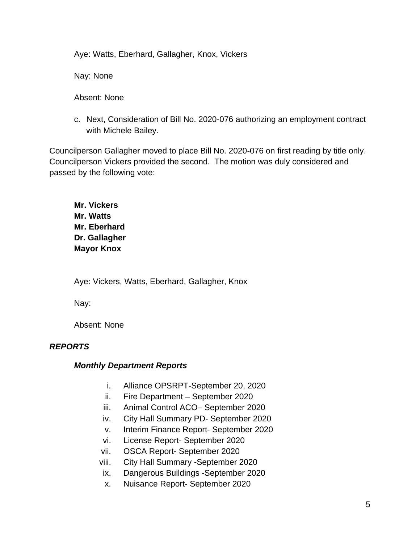Aye: Watts, Eberhard, Gallagher, Knox, Vickers

Nay: None

Absent: None

c. Next, Consideration of Bill No. 2020-076 authorizing an employment contract with Michele Bailey.

Councilperson Gallagher moved to place Bill No. 2020-076 on first reading by title only. Councilperson Vickers provided the second. The motion was duly considered and passed by the following vote:

**Mr. Vickers Mr. Watts Mr. Eberhard Dr. Gallagher Mayor Knox**

Aye: Vickers, Watts, Eberhard, Gallagher, Knox

Nay:

Absent: None

# *REPORTS*

### *Monthly Department Reports*

- i. Alliance OPSRPT-September 20, 2020
- ii. Fire Department September 2020
- iii. Animal Control ACO– September 2020
- iv. City Hall Summary PD- September 2020
- v. Interim Finance Report- September 2020
- vi. License Report- September 2020
- vii. OSCA Report- September 2020
- viii. City Hall Summary -September 2020
- ix. Dangerous Buildings -September 2020
- x. Nuisance Report- September 2020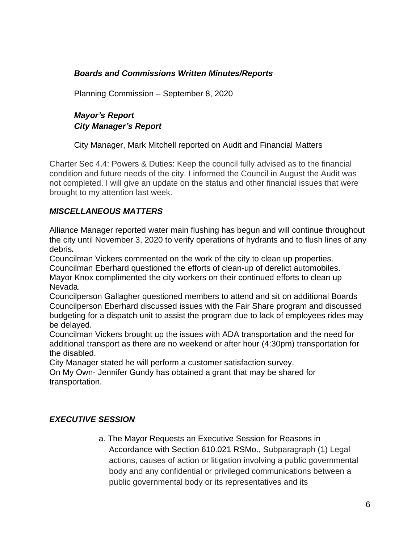# *Boards and Commissions Written Minutes/Reports*

Planning Commission – September 8, 2020

# *Mayor's Report City Manager's Report*

City Manager, Mark Mitchell reported on Audit and Financial Matters

Charter Sec 4.4: Powers & Duties: Keep the council fully advised as to the financial condition and future needs of the city. I informed the Council in August the Audit was not completed. I will give an update on the status and other financial issues that were brought to my attention last week.

# *MISCELLANEOUS MATTERS*

Alliance Manager reported water main flushing has begun and will continue throughout the city until November 3, 2020 to verify operations of hydrants and to flush lines of any debris*.*

Councilman Vickers commented on the work of the city to clean up properties. Councilman Eberhard questioned the efforts of clean-up of derelict automobiles. Mayor Knox complimented the city workers on their continued efforts to clean up Nevada.

Councilperson Gallagher questioned members to attend and sit on additional Boards Councilperson Eberhard discussed issues with the Fair Share program and discussed budgeting for a dispatch unit to assist the program due to lack of employees rides may be delayed.

Councilman Vickers brought up the issues with ADA transportation and the need for additional transport as there are no weekend or after hour (4:30pm) transportation for the disabled.

City Manager stated he will perform a customer satisfaction survey.

On My Own- Jennifer Gundy has obtained a grant that may be shared for transportation.

### *EXECUTIVE SESSION*

a. The Mayor Requests an Executive Session for Reasons in Accordance with Section 610.021 RSMo., Subparagraph (1) Legal actions, causes of action or litigation involving a public governmental body and any confidential or privileged communications between a public governmental body or its representatives and its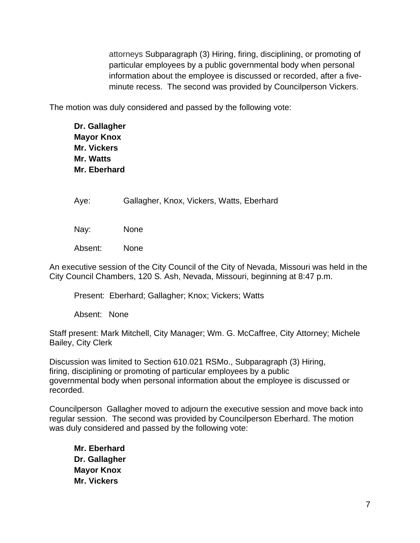attorneys Subparagraph (3) Hiring, firing, disciplining, or promoting of particular employees by a public governmental body when personal information about the employee is discussed or recorded, after a fiveminute recess. The second was provided by Councilperson Vickers.

The motion was duly considered and passed by the following vote:

**Dr. Gallagher Mayor Knox Mr. Vickers Mr. Watts Mr. Eberhard**

Aye: Gallagher, Knox, Vickers, Watts, Eberhard

Nay: None

Absent: None

An executive session of the City Council of the City of Nevada, Missouri was held in the City Council Chambers, 120 S. Ash, Nevada, Missouri, beginning at 8:47 p.m.

Present: Eberhard; Gallagher; Knox; Vickers; Watts

Absent: None

Staff present: Mark Mitchell, City Manager; Wm. G. McCaffree, City Attorney; Michele Bailey, City Clerk

Discussion was limited to Section 610.021 RSMo., Subparagraph (3) Hiring, firing, disciplining or promoting of particular employees by a public governmental body when personal information about the employee is discussed or recorded.

Councilperson Gallagher moved to adjourn the executive session and move back into regular session. The second was provided by Councilperson Eberhard. The motion was duly considered and passed by the following vote:

**Mr. Eberhard Dr. Gallagher Mayor Knox Mr. Vickers**